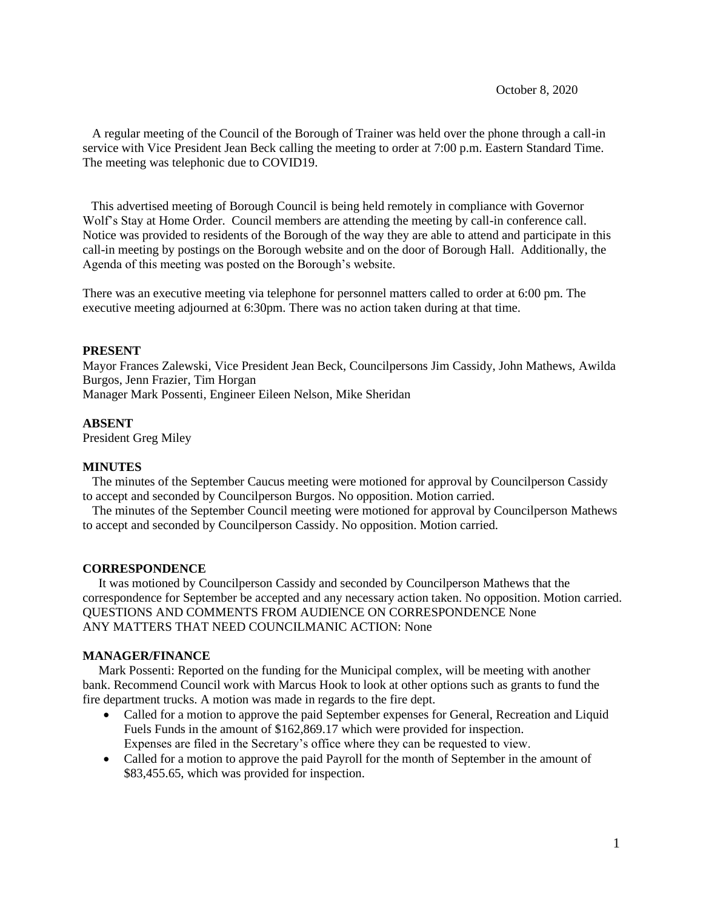A regular meeting of the Council of the Borough of Trainer was held over the phone through a call-in service with Vice President Jean Beck calling the meeting to order at 7:00 p.m. Eastern Standard Time. The meeting was telephonic due to COVID19.

 This advertised meeting of Borough Council is being held remotely in compliance with Governor Wolf's Stay at Home Order. Council members are attending the meeting by call-in conference call. Notice was provided to residents of the Borough of the way they are able to attend and participate in this call-in meeting by postings on the Borough website and on the door of Borough Hall. Additionally, the Agenda of this meeting was posted on the Borough's website.

There was an executive meeting via telephone for personnel matters called to order at 6:00 pm. The executive meeting adjourned at 6:30pm. There was no action taken during at that time.

#### **PRESENT**

Mayor Frances Zalewski, Vice President Jean Beck, Councilpersons Jim Cassidy, John Mathews, Awilda Burgos, Jenn Frazier, Tim Horgan Manager Mark Possenti, Engineer Eileen Nelson, Mike Sheridan

#### **ABSENT**

President Greg Miley

### **MINUTES**

 The minutes of the September Caucus meeting were motioned for approval by Councilperson Cassidy to accept and seconded by Councilperson Burgos. No opposition. Motion carried.

The minutes of the September Council meeting were motioned for approval by Councilperson Mathews to accept and seconded by Councilperson Cassidy. No opposition. Motion carried.

#### **CORRESPONDENCE**

 It was motioned by Councilperson Cassidy and seconded by Councilperson Mathews that the correspondence for September be accepted and any necessary action taken. No opposition. Motion carried. QUESTIONS AND COMMENTS FROM AUDIENCE ON CORRESPONDENCE None ANY MATTERS THAT NEED COUNCILMANIC ACTION: None

#### **MANAGER/FINANCE**

 Mark Possenti: Reported on the funding for the Municipal complex, will be meeting with another bank. Recommend Council work with Marcus Hook to look at other options such as grants to fund the fire department trucks. A motion was made in regards to the fire dept.

- Called for a motion to approve the paid September expenses for General, Recreation and Liquid Fuels Funds in the amount of \$162,869.17 which were provided for inspection. Expenses are filed in the Secretary's office where they can be requested to view.
- Called for a motion to approve the paid Payroll for the month of September in the amount of \$83,455.65, which was provided for inspection.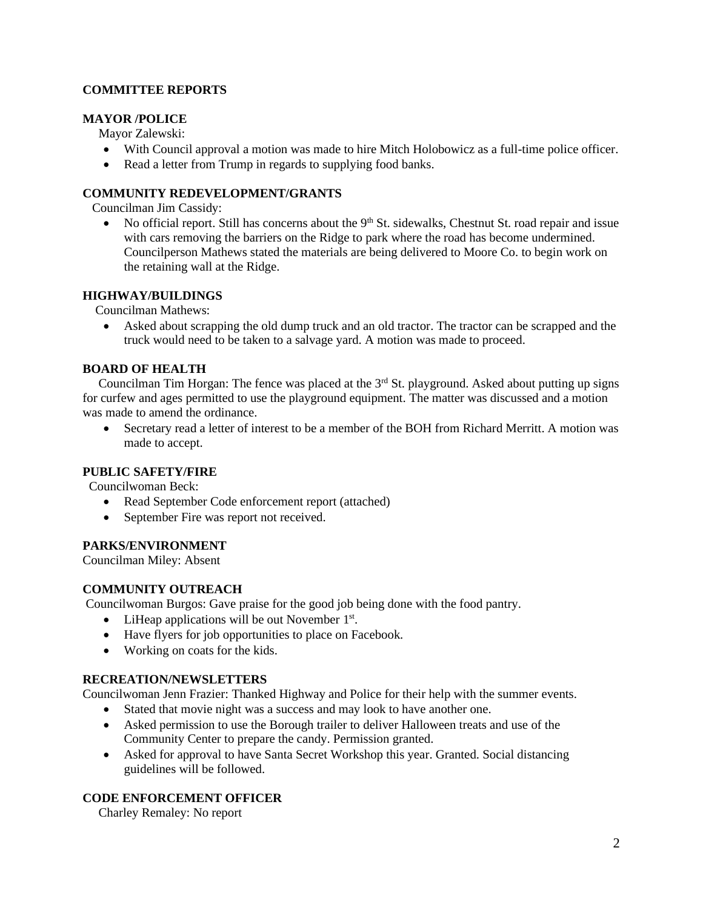# **COMMITTEE REPORTS**

# **MAYOR /POLICE**

Mayor Zalewski:

- With Council approval a motion was made to hire Mitch Holobowicz as a full-time police officer.
- Read a letter from Trump in regards to supplying food banks.

# **COMMUNITY REDEVELOPMENT/GRANTS**

Councilman Jim Cassidy:

• No official report. Still has concerns about the  $9<sup>th</sup>$  St. sidewalks, Chestnut St. road repair and issue with cars removing the barriers on the Ridge to park where the road has become undermined. Councilperson Mathews stated the materials are being delivered to Moore Co. to begin work on the retaining wall at the Ridge.

## **HIGHWAY/BUILDINGS**

Councilman Mathews:

• Asked about scrapping the old dump truck and an old tractor. The tractor can be scrapped and the truck would need to be taken to a salvage yard. A motion was made to proceed.

# **BOARD OF HEALTH**

Councilman Tim Horgan: The fence was placed at the  $3<sup>rd</sup>$  St. playground. Asked about putting up signs for curfew and ages permitted to use the playground equipment. The matter was discussed and a motion was made to amend the ordinance.

• Secretary read a letter of interest to be a member of the BOH from Richard Merritt. A motion was made to accept.

## **PUBLIC SAFETY/FIRE**

Councilwoman Beck:

- Read September Code enforcement report (attached)
- September Fire was report not received.

## **PARKS/ENVIRONMENT**

Councilman Miley: Absent

# **COMMUNITY OUTREACH**

Councilwoman Burgos: Gave praise for the good job being done with the food pantry.

- $\bullet$  LiHeap applications will be out November 1<sup>st</sup>.
- Have flyers for job opportunities to place on Facebook.
- Working on coats for the kids.

## **RECREATION/NEWSLETTERS**

Councilwoman Jenn Frazier: Thanked Highway and Police for their help with the summer events.

- Stated that movie night was a success and may look to have another one.
- Asked permission to use the Borough trailer to deliver Halloween treats and use of the Community Center to prepare the candy. Permission granted.
- Asked for approval to have Santa Secret Workshop this year. Granted. Social distancing guidelines will be followed.

# **CODE ENFORCEMENT OFFICER**

Charley Remaley: No report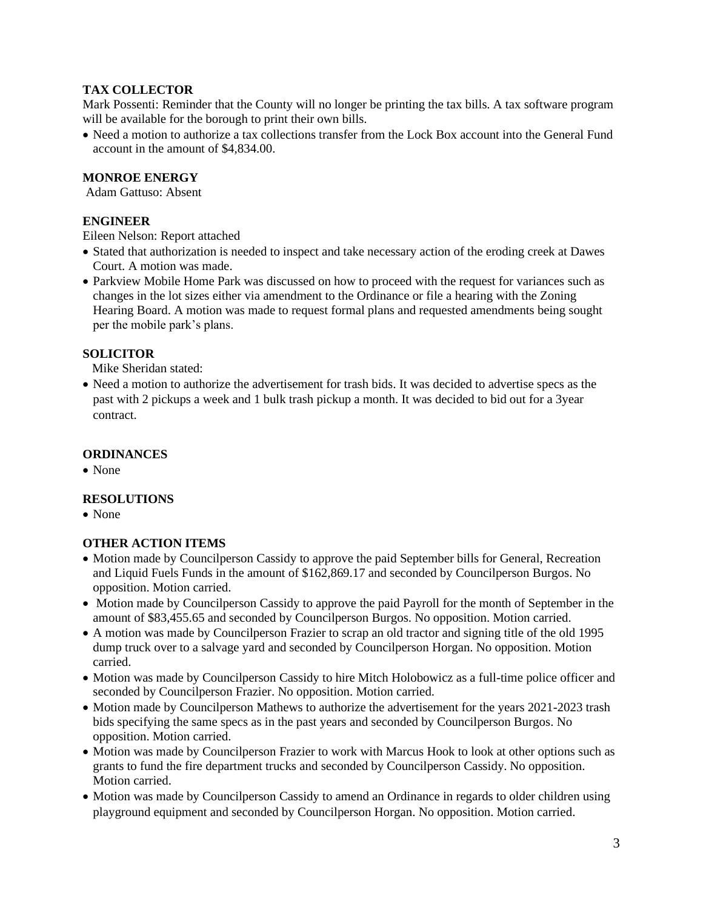# **TAX COLLECTOR**

Mark Possenti: Reminder that the County will no longer be printing the tax bills. A tax software program will be available for the borough to print their own bills.

• Need a motion to authorize a tax collections transfer from the Lock Box account into the General Fund account in the amount of \$4,834.00.

# **MONROE ENERGY**

Adam Gattuso: Absent

# **ENGINEER**

Eileen Nelson: Report attached

- Stated that authorization is needed to inspect and take necessary action of the eroding creek at Dawes Court. A motion was made.
- Parkview Mobile Home Park was discussed on how to proceed with the request for variances such as changes in the lot sizes either via amendment to the Ordinance or file a hearing with the Zoning Hearing Board. A motion was made to request formal plans and requested amendments being sought per the mobile park's plans.

# **SOLICITOR**

Mike Sheridan stated:

• Need a motion to authorize the advertisement for trash bids. It was decided to advertise specs as the past with 2 pickups a week and 1 bulk trash pickup a month. It was decided to bid out for a 3year contract.

## **ORDINANCES**

• None

## **RESOLUTIONS**

• None

## **OTHER ACTION ITEMS**

- Motion made by Councilperson Cassidy to approve the paid September bills for General, Recreation and Liquid Fuels Funds in the amount of \$162,869.17 and seconded by Councilperson Burgos. No opposition. Motion carried.
- Motion made by Councilperson Cassidy to approve the paid Payroll for the month of September in the amount of \$83,455.65 and seconded by Councilperson Burgos. No opposition. Motion carried.
- A motion was made by Councilperson Frazier to scrap an old tractor and signing title of the old 1995 dump truck over to a salvage yard and seconded by Councilperson Horgan. No opposition. Motion carried.
- Motion was made by Councilperson Cassidy to hire Mitch Holobowicz as a full-time police officer and seconded by Councilperson Frazier. No opposition. Motion carried.
- Motion made by Councilperson Mathews to authorize the advertisement for the years 2021-2023 trash bids specifying the same specs as in the past years and seconded by Councilperson Burgos. No opposition. Motion carried.
- Motion was made by Councilperson Frazier to work with Marcus Hook to look at other options such as grants to fund the fire department trucks and seconded by Councilperson Cassidy. No opposition. Motion carried.
- Motion was made by Councilperson Cassidy to amend an Ordinance in regards to older children using playground equipment and seconded by Councilperson Horgan. No opposition. Motion carried.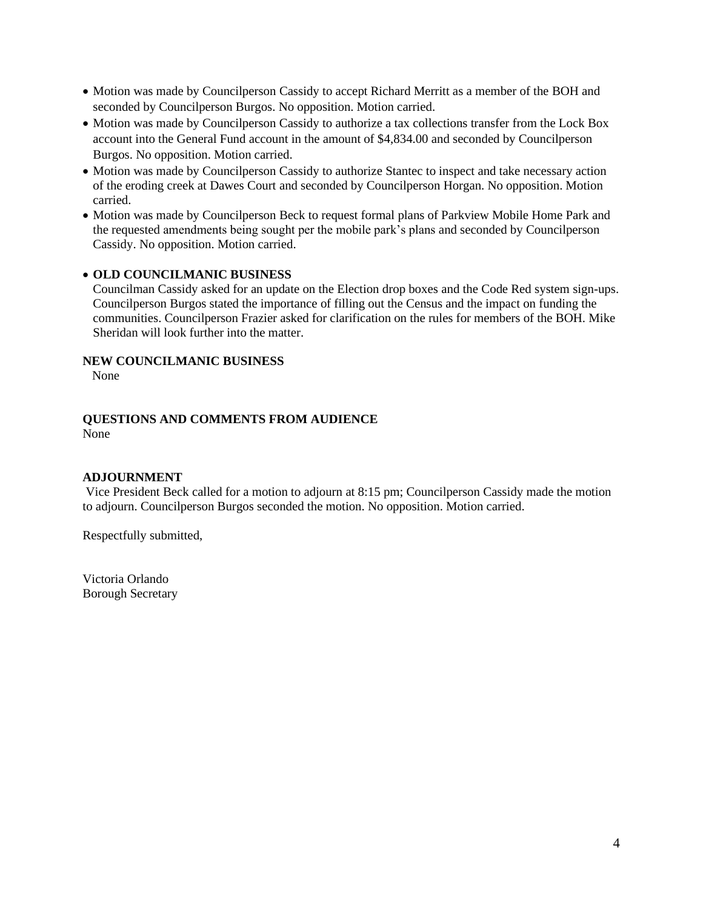- Motion was made by Councilperson Cassidy to accept Richard Merritt as a member of the BOH and seconded by Councilperson Burgos. No opposition. Motion carried.
- Motion was made by Councilperson Cassidy to authorize a tax collections transfer from the Lock Box account into the General Fund account in the amount of \$4,834.00 and seconded by Councilperson Burgos. No opposition. Motion carried.
- Motion was made by Councilperson Cassidy to authorize Stantec to inspect and take necessary action of the eroding creek at Dawes Court and seconded by Councilperson Horgan. No opposition. Motion carried.
- Motion was made by Councilperson Beck to request formal plans of Parkview Mobile Home Park and the requested amendments being sought per the mobile park's plans and seconded by Councilperson Cassidy. No opposition. Motion carried.

# • **OLD COUNCILMANIC BUSINESS**

Councilman Cassidy asked for an update on the Election drop boxes and the Code Red system sign-ups. Councilperson Burgos stated the importance of filling out the Census and the impact on funding the communities. Councilperson Frazier asked for clarification on the rules for members of the BOH. Mike Sheridan will look further into the matter.

## **NEW COUNCILMANIC BUSINESS**

None

#### **QUESTIONS AND COMMENTS FROM AUDIENCE** None

## **ADJOURNMENT**

Vice President Beck called for a motion to adjourn at 8:15 pm; Councilperson Cassidy made the motion to adjourn. Councilperson Burgos seconded the motion. No opposition. Motion carried.

Respectfully submitted,

Victoria Orlando Borough Secretary